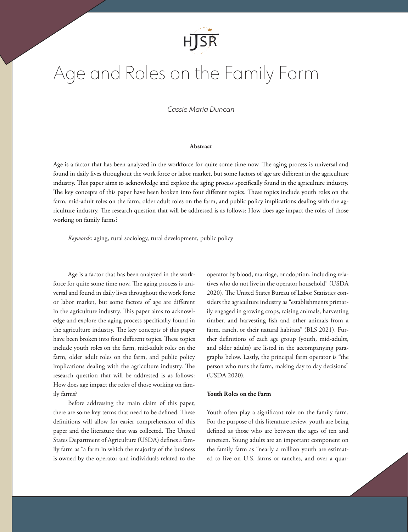

# Age and Roles on the Family Farm

# *Cassie Maria Duncan*

# Abstract

Age is a factor that has been analyzed in the workforce for quite some time now. The aging process is universal and found in daily lives throughout the work force or labor market, but some factors of age are different in the agriculture industry. This paper aims to acknowledge and explore the aging process specifically found in the agriculture industry. The key concepts of this paper have been broken into four different topics. These topics include youth roles on the farm, mid-adult roles on the farm, older adult roles on the farm, and public policy implications dealing with the agriculture industry. The research question that will be addressed is as follows: How does age impact the roles of those working on family farms?

*Keywords*: aging, rural sociology, rural development, public policy

Age is a factor that has been analyzed in the workforce for quite some time now. The aging process is universal and found in daily lives throughout the work force or labor market, but some factors of age are different in the agriculture industry. This paper aims to acknowledge and explore the aging process specifically found in the agriculture industry. The key concepts of this paper have been broken into four different topics. These topics include youth roles on the farm, mid-adult roles on the farm, older adult roles on the farm, and public policy implications dealing with the agriculture industry. The research question that will be addressed is as follows: How does age impact the roles of those working on family farms?

Before addressing the main claim of this paper, there are some key terms that need to be defined. These definitions will allow for easier comprehension of this paper and the literature that was collected. The United States Department of Agriculture (USDA) defines a family farm as "a farm in which the majority of the business is owned by the operator and individuals related to the operator by blood, marriage, or adoption, including relatives who do not live in the operator household" (USDA 2020). The United States Bureau of Labor Statistics considers the agriculture industry as "establishments primarily engaged in growing crops, raising animals, harvesting timber, and harvesting fish and other animals from a farm, ranch, or their natural habitats" (BLS 2021). Further definitions of each age group (youth, mid-adults, and older adults) are listed in the accompanying paragraphs below. Lastly, the principal farm operator is "the person who runs the farm, making day to day decisions" (USDA 2020).

# Youth Roles on the Farm

Youth often play a significant role on the family farm. For the purpose of this literature review, youth are being defined as those who are between the ages of ten and nineteen. Young adults are an important component on the family farm as "nearly a million youth are estimated to live on U.S. farms or ranches, and over a quar-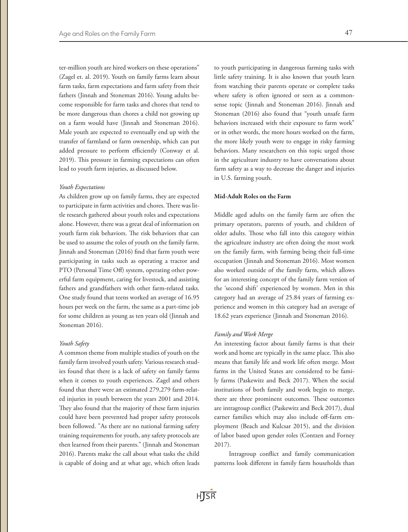ter-million youth are hired workers on these operations" (Zagel et. al. 2019). Youth on family farms learn about farm tasks, farm expectations and farm safety from their fathers (Jinnah and Stoneman 2016). Young adults become responsible for farm tasks and chores that tend to be more dangerous than chores a child not growing up on a farm would have (Jinnah and Stoneman 2016). Male youth are expected to eventually end up with the transfer of farmland or farm ownership, which can put added pressure to perform efficiently (Conway et al. 2019). This pressure in farming expectations can often lead to youth farm injuries, as discussed below.

## *Youth Expectations*

As children grow up on family farms, they are expected to participate in farm activities and chores. There was little research gathered about youth roles and expectations alone. However, there was a great deal of information on youth farm risk behaviors. The risk behaviors that can be used to assume the roles of youth on the family farm. Jinnah and Stoneman (2016) find that farm youth were participating in tasks such as operating a tractor and PTO (Personal Time Off) system, operating other powerful farm equipment, caring for livestock, and assisting fathers and grandfathers with other farm-related tasks. One study found that teens worked an average of 16.95 hours per week on the farm, the same as a part-time job for some children as young as ten years old (Jinnah and Stoneman 2016).

#### *Youth Safety*

A common theme from multiple studies of youth on the family farm involved youth safety. Various research studies found that there is a lack of safety on family farms when it comes to youth experiences. Zagel and others found that there were an estimated 279,279 farm-related injuries in youth between the years 2001 and 2014. They also found that the majority of these farm injuries could have been prevented had proper safety protocols been followed. "As there are no national farming safety training requirements for youth, any safety protocols are then learned from their parents." (Jinnah and Stoneman 2016). Parents make the call about what tasks the child is capable of doing and at what age, which often leads

to youth participating in dangerous farming tasks with little safety training. It is also known that youth learn from watching their parents operate or complete tasks where safety is often ignored or seen as a commonsense topic (Jinnah and Stoneman 2016). Jinnah and Stoneman (2016) also found that "youth unsafe farm behaviors increased with their exposure to farm work" or in other words, the more hours worked on the farm, the more likely youth were to engage in risky farming behaviors. Many researchers on this topic urged those in the agriculture industry to have conversations about farm safety as a way to decrease the danger and injuries in U.S. farming youth.

# Mid-Adult Roles on the Farm

Middle aged adults on the family farm are often the primary operators, parents of youth, and children of older adults. Those who fall into this category within the agriculture industry are often doing the most work on the family farm, with farming being their full-time occupation (Jinnah and Stoneman 2016). Most women also worked outside of the family farm, which allows for an interesting concept of the family farm version of the 'second shift' experienced by women. Men in this category had an average of 25.84 years of farming experience and women in this category had an average of 18.62 years experience (Jinnah and Stoneman 2016).

#### *Family and Work Merge*

An interesting factor about family farms is that their work and home are typically in the same place. This also means that family life and work life often merge. Most farms in the United States are considered to be family farms (Paskewitz and Beck 2017). When the social institutions of both family and work begin to merge, there are three prominent outcomes. These outcomes are intragroup conflict (Paskewitz and Beck 2017), dual earner families which may also include off-farm employment (Beach and Kulcsar 2015), and the division of labor based upon gender roles (Contzen and Forney 2017).

Intragroup conflict and family communication patterns look different in family farm households than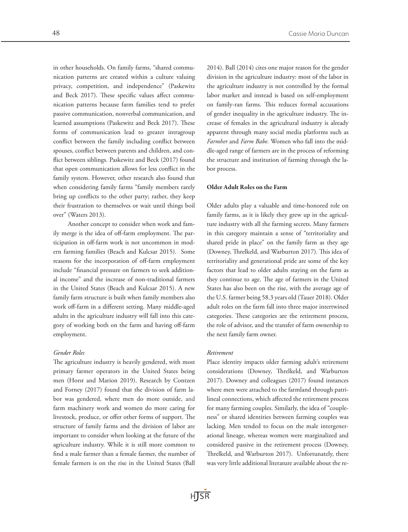in other households. On family farms, "shared communication patterns are created within a culture valuing privacy, competition, and independence" (Paskewitz and Beck 2017). These specific values affect communication patterns because farm families tend to prefer passive communication, nonverbal communication, and learned assumptions (Paskewitz and Beck 2017). These forms of communication lead to greater intragroup conflict between the family including conflict between spouses, conflict between parents and children, and conflict between siblings. Paskewitz and Beck (2017) found that open communication allows for less conflict in the family system. However, other research also found that when considering family farms "family members rarely bring up conflicts to the other party; rather, they keep their frustration to themselves or wait until things boil over" (Waters 2013).

Another concept to consider when work and family merge is the idea of off-farm employment. The participation in off-farm work is not uncommon in modern farming families (Beach and Kulcsar 2015). Some reasons for the incorporation of off-farm employment include "financial pressure on farmers to seek additional income" and the increase of non-traditional farmers in the United States (Beach and Kulcsar 2015). A new family farm structure is built when family members also work off-farm in a different setting. Many middle-aged adults in the agriculture industry will fall into this category of working both on the farm and having off-farm employment.

#### *Gender Roles*

The agriculture industry is heavily gendered, with most primary farmer operators in the United States being men (Horst and Marion 2019). Research by Contzen and Forney (2017) found that the division of farm labor was gendered, where men do more outside, and farm machinery work and women do more caring for livestock, produce, or offer other forms of support. The structure of family farms and the division of labor are important to consider when looking at the future of the agriculture industry. While it is still more common to find a male farmer than a female farmer, the number of female farmers is on the rise in the United States (Ball

2014). Ball (2014) cites one major reason for the gender division in the agriculture industry: most of the labor in the agriculture industry is not controlled by the formal labor market and instead is based on self-employment on family-ran farms. This reduces formal accusations of gender inequality in the agriculture industry. The increase of females in the agricultural industry is already apparent through many social media platforms such as *Farmher* and *Farm Babe.* Women who fall into the middle-aged range of farmers are in the process of reforming the structure and institution of farming through the labor process.

## Older Adult Roles on the Farm

Older adults play a valuable and time-honored role on family farms, as it is likely they grew up in the agriculture industry with all the farming secrets. Many farmers in this category maintain a sense of "territoriality and shared pride in place" on the family farm as they age (Downey, Threlkeld, and Warburton 2017). This idea of territoriality and generational pride are some of the key factors that lead to older adults staying on the farm as they continue to age. The age of farmers in the United States has also been on the rise, with the average age of the U.S. farmer being 58.3 years old (Tauer 2018). Older adult roles on the farm fall into three major intertwined categories. These categories are the retirement process, the role of advisor, and the transfer of farm ownership to the next family farm owner.

#### *Retirement*

Place identity impacts older farming adult's retirement considerations (Downey, Threlkeld, and Warburton 2017). Downey and colleagues (2017) found instances where men were attached to the farmland through patrilineal connections, which affected the retirement process for many farming couples. Similarly, the idea of "coupleness" or shared identities between farming couples was lacking. Men tended to focus on the male intergenerational lineage, whereas women were marginalized and considered passive in the retirement process (Downey, Threlkeld, and Warburton 2017). Unfortunately, there was very little additional literature available about the re-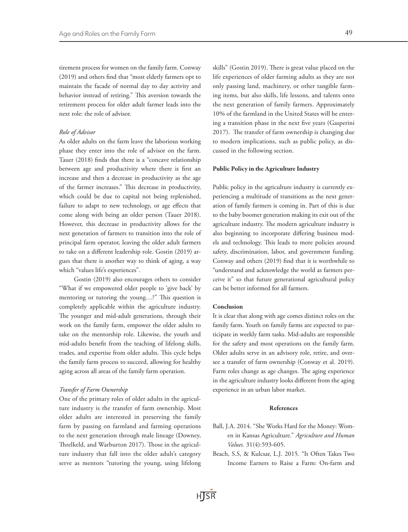tirement process for women on the family farm. Conway (2019) and others find that "most elderly farmers opt to maintain the facade of normal day to day activity and behavior instead of retiring." This aversion towards the retirement process for older adult farmer leads into the next role: the role of advisor.

#### *Role of Advisor*

As older adults on the farm leave the laborious working phase they enter into the role of advisor on the farm. Tauer (2018) finds that there is a "concave relationship between age and productivity where there is first an increase and then a decrease in productivity as the age of the farmer increases." This decrease in productivity, which could be due to capital not being replenished, failure to adapt to new technology, or age effects that come along with being an older person (Tauer 2018). However, this decrease in productivity allows for the next generation of farmers to transition into the role of principal farm operator, leaving the older adult farmers to take on a different leadership role. Gostin (2019) argues that there is another way to think of aging, a way which "values life's experiences".

Gostin (2019) also encourages others to consider "What if we empowered older people to 'give back' by mentoring or tutoring the young…?" This question is completely applicable within the agriculture industry. The younger and mid-adult generations, through their work on the family farm, empower the older adults to take on the mentorship role. Likewise, the youth and mid-adults benefit from the teaching of lifelong skills, trades, and expertise from older adults. This cycle helps the family farm process to succeed, allowing for healthy aging across all areas of the family farm operation.

#### *Transfer of Farm Ownership*

One of the primary roles of older adults in the agriculture industry is the transfer of farm ownership. Most older adults are interested in preserving the family farm by passing on farmland and farming operations to the next generation through male lineage (Downey, Threlkeld, and Warburton 2017). Those in the agriculture industry that fall into the older adult's category serve as mentors "tutoring the young, using lifelong skills" (Gostin 2019). There is great value placed on the life experiences of older farming adults as they are not only passing land, machinery, or other tangible farming items, but also skills, life lessons, and talents onto the next generation of family farmers. Approximately 10% of the farmland in the United States will be entering a transition phase in the next five years (Gasperini 2017). The transfer of farm ownership is changing due to modern implications, such as public policy, as discussed in the following section.

#### Public Policy in the Agriculture Industry

Public policy in the agriculture industry is currently experiencing a multitude of transitions as the next generation of family farmers is coming in. Part of this is due to the baby boomer generation making its exit out of the agriculture industry. The modern agriculture industry is also beginning to incorporate differing business models and technology. This leads to more policies around safety, discrimination, labor, and government funding. Conway and others (2019) find that it is worthwhile to "understand and acknowledge the world as farmers perceive it" so that future generational agricultural policy can be better informed for all farmers.

#### Conclusion

It is clear that along with age comes distinct roles on the family farm. Youth on family farms are expected to participate in weekly farm tasks. Mid-adults are responsible for the safety and most operations on the family farm. Older adults serve in an advisory role, retire, and oversee a transfer of farm ownership (Conway et al. 2019). Farm roles change as age changes. The aging experience in the agriculture industry looks different from the aging experience in an urban labor market.

## References

- Ball, J.A. 2014. "She Works Hard for the Money: Women in Kansas Agriculture." *Agriculture and Human Values.* 31(4):593-605.
- Beach, S.S, & Kulcsar, L.J. 2015. "It Often Takes Two Income Earners to Raise a Farm: On-farm and